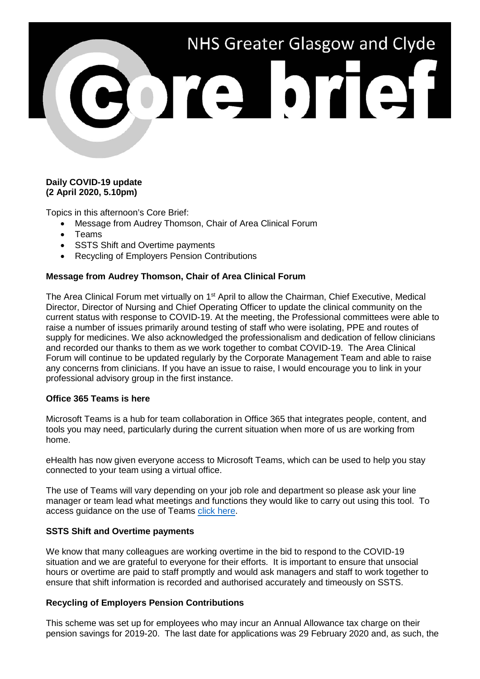

# **Daily COVID-19 update (2 April 2020, 5.10pm)**

Topics in this afternoon's Core Brief:

- Message from Audrey Thomson, Chair of Area Clinical Forum
- Teams
- SSTS Shift and Overtime payments
- Recycling of Employers Pension Contributions

# **Message from Audrey Thomson, Chair of Area Clinical Forum**

The Area Clinical Forum met virtually on 1<sup>st</sup> April to allow the Chairman, Chief Executive, Medical Director, Director of Nursing and Chief Operating Officer to update the clinical community on the current status with response to COVID-19. At the meeting, the Professional committees were able to raise a number of issues primarily around testing of staff who were isolating, PPE and routes of supply for medicines. We also acknowledged the professionalism and dedication of fellow clinicians and recorded our thanks to them as we work together to combat COVID-19. The Area Clinical Forum will continue to be updated regularly by the Corporate Management Team and able to raise any concerns from clinicians. If you have an issue to raise, I would encourage you to link in your professional advisory group in the first instance.

#### **Office 365 Teams is here**

Microsoft Teams is a hub for team collaboration in Office 365 that integrates people, content, and tools you may need, particularly during the current situation when more of us are working from home.

eHealth has now given everyone access to Microsoft Teams, which can be used to help you stay connected to your team using a virtual office.

The use of Teams will vary depending on your job role and department so please ask your line manager or team lead what meetings and functions they would like to carry out using this tool. To access guidance on the use of Teams [click here.](https://www.nhsggc.org.uk/media/259672/o365teamcomm201042020.pdf)

### **SSTS Shift and Overtime payments**

We know that many colleagues are working overtime in the bid to respond to the COVID-19 situation and we are grateful to everyone for their efforts. It is important to ensure that unsocial hours or overtime are paid to staff promptly and would ask managers and staff to work together to ensure that shift information is recorded and authorised accurately and timeously on SSTS.

#### **Recycling of Employers Pension Contributions**

This scheme was set up for employees who may incur an Annual Allowance tax charge on their pension savings for 2019-20. The last date for applications was 29 February 2020 and, as such, the